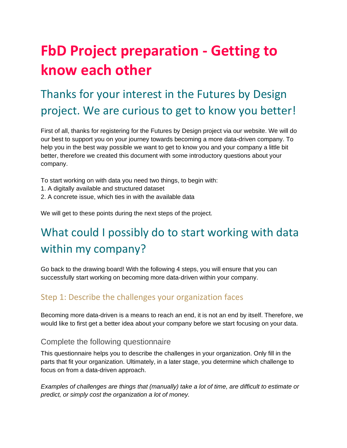# **FbD Project preparation - Getting to know each other**

## Thanks for your interest in the Futures by Design project. We are curious to get to know you better!

First of all, thanks for registering for the Futures by Design project via our website. We will do our best to support you on your journey towards becoming a more data-driven company. To help you in the best way possible we want to get to know you and your company a little bit better, therefore we created this document with some introductory questions about your company.

To start working on with data you need two things, to begin with:

- 1. A digitally available and structured dataset
- 2. A concrete issue, which ties in with the available data

We will get to these points during the next steps of the project.

## What could I possibly do to start working with data within my company?

Go back to the drawing board! With the following 4 steps, you will ensure that you can successfully start working on becoming more data-driven within your company.

#### Step 1: Describe the challenges your organization faces

Becoming more data-driven is a means to reach an end, it is not an end by itself. Therefore, we would like to first get a better idea about your company before we start focusing on your data.

#### Complete the following questionnaire

This questionnaire helps you to describe the challenges in your organization. Only fill in the parts that fit your organization. Ultimately, in a later stage, you determine which challenge to focus on from a data-driven approach.

*Examples of challenges are things that (manually) take a lot of time, are difficult to estimate or predict, or simply cost the organization a lot of money.*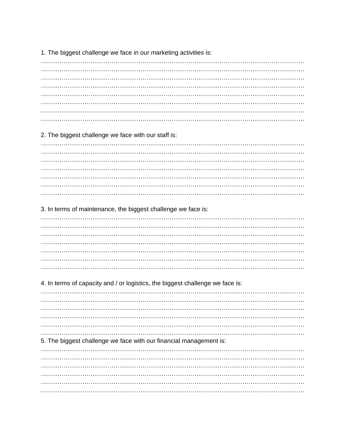1. The biggest challenge we face in our marketing activities is:

2. The biggest challenge we face with our staff is:

3. In terms of maintenance, the biggest challenge we face is:

4. In terms of capacity and / or logistics, the biggest challenge we face is:

5. The biggest challenge we face with our financial management is: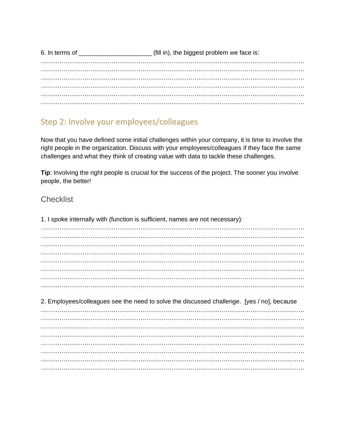6. In terms of \_\_\_\_\_\_\_\_\_\_\_\_\_\_\_\_\_\_\_\_\_\_\_\_\_\_ (fill in), the biggest problem we face is: ………………………………………………………………………………………………………………. ………………………………………………………………………………………………………………. . The contract of the contract of the contract of the contract of the contract of the contract of the contract of the contract of the contract of the contract of the contract of the contract of the contract of the contrac ………………………………………………………………………………………………………………. ………………………………………………………………………………………………………………. ……………………………………………………………………………………………………………….

### Step 2: Involve your employees/colleagues

Now that you have defined some initial challenges within your company, it is time to involve the right people in the organization. Discuss with your employees/colleagues if they face the same challenges and what they think of creating value with data to tackle these challenges.

**Tip:** Involving the right people is crucial for the success of the project. The sooner you involve people, the better!

#### **Checklist**

1. I spoke internally with (function is sufficient, names are not necessary): ………………………………………………………………………………………………………………. ………………………………………………………………………………………………………………. ………………………………………………………………………………………………………………. . The contract of the contract of the contract of the contract of the contract of the contract of the contract of the contract of the contract of the contract of the contract of the contract of the contract of the contrac ……………………………………………………………………………………………………………….  $\mathcal{L}^{\text{max}}_{\text{max}}$ ………………………………………………………………………………………………………………. 2. Employees/colleagues see the need to solve the discussed challenge. [yes / no], because ………………………………………………………………………………………………………………. ………………………………………………………………………………………………………………. ………………………………………………………………………………………………………………. ………………………………………………………………………………………………………………. ………………………………………………………………………………………………………………. ………………………………………………………………………………………………………………. ………………………………………………………………………………………………………………. ……………………………………………………………………………………………………………….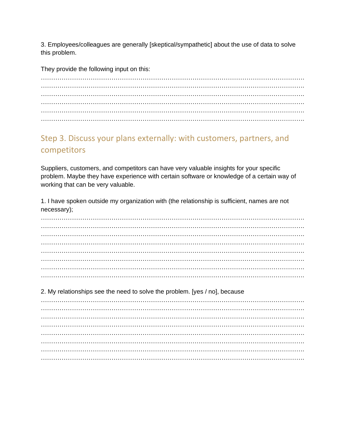3. Employees/colleagues are generally [skeptical/sympathetic] about the use of data to solve this problem.

They provide the following input on this:

### Step 3. Discuss your plans externally: with customers, partners, and competitors

Suppliers, customers, and competitors can have very valuable insights for your specific problem. Maybe they have experience with certain software or knowledge of a certain way of working that can be very valuable.

1. I have spoken outside my organization with (the relationship is sufficient, names are not necessary);

2. My relationships see the need to solve the problem. [yes / no], because

………………………………………………………………………………………………………………. ………………………………………………………………………………………………………………. ………………………………………………………………………………………………………………. ………………………………………………………………………………………………………………. ………………………………………………………………………………………………………………. ………………………………………………………………………………………………………………. ………………………………………………………………………………………………………………. ……………………………………………………………………………………………………………….